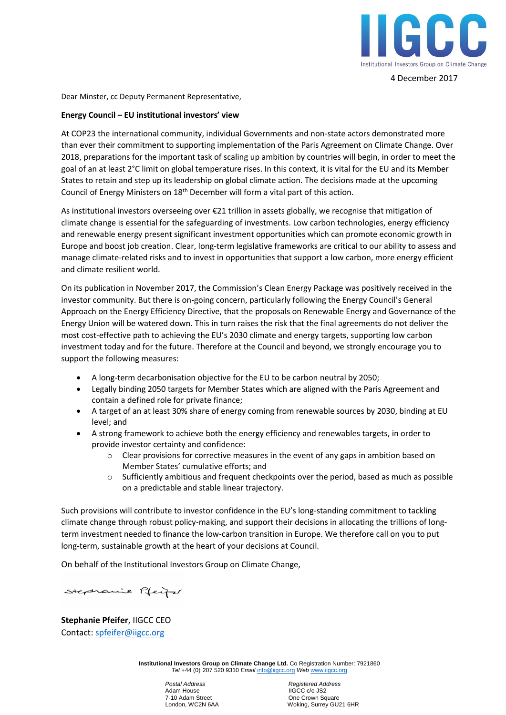

4 December 2017

Dear Minster, cc Deputy Permanent Representative,

## **Energy Council – EU institutional investors' view**

At COP23 the international community, individual Governments and non-state actors demonstrated more than ever their commitment to supporting implementation of the Paris Agreement on Climate Change. Over 2018, preparations for the important task of scaling up ambition by countries will begin, in order to meet the goal of an at least 2°C limit on global temperature rises. In this context, it is vital for the EU and its Member States to retain and step up its leadership on global climate action. The decisions made at the upcoming Council of Energy Ministers on 18th December will form a vital part of this action.

As institutional investors overseeing over €21 trillion in assets globally, we recognise that mitigation of climate change is essential for the safeguarding of investments. Low carbon technologies, energy efficiency and renewable energy present significant investment opportunities which can promote economic growth in Europe and boost job creation. Clear, long-term legislative frameworks are critical to our ability to assess and manage climate-related risks and to invest in opportunities that support a low carbon, more energy efficient and climate resilient world.

On its publication in November 2017, the Commission's Clean Energy Package was positively received in the investor community. But there is on-going concern, particularly following the Energy Council's General Approach on the Energy Efficiency Directive, that the proposals on Renewable Energy and Governance of the Energy Union will be watered down. This in turn raises the risk that the final agreements do not deliver the most cost-effective path to achieving the EU's 2030 climate and energy targets, supporting low carbon investment today and for the future. Therefore at the Council and beyond, we strongly encourage you to support the following measures:

- A long-term decarbonisation objective for the EU to be carbon neutral by 2050;
- Legally binding 2050 targets for Member States which are aligned with the Paris Agreement and contain a defined role for private finance;
- A target of an at least 30% share of energy coming from renewable sources by 2030, binding at EU level; and
- A strong framework to achieve both the energy efficiency and renewables targets, in order to provide investor certainty and confidence:
	- o Clear provisions for corrective measures in the event of any gaps in ambition based on Member States' cumulative efforts; and
	- o Sufficiently ambitious and frequent checkpoints over the period, based as much as possible on a predictable and stable linear trajectory.

Such provisions will contribute to investor confidence in the EU's long-standing commitment to tackling climate change through robust policy-making, and support their decisions in allocating the trillions of longterm investment needed to finance the low-carbon transition in Europe. We therefore call on you to put long-term, sustainable growth at the heart of your decisions at Council.

On behalf of the Institutional Investors Group on Climate Change,

Stephanie Pfeifer

**Stephanie Pfeifer**, IIGCC CEO Contact: [spfeifer@iigcc.org](mailto:spfeifer@iigcc.org)

> **Institutional Investors Group on Climate Change Ltd.** Co Registration Number: 7921860 *Tel* +44 (0) 207 520 9310 *Email* [info@iigcc.org](mailto:info@iigcc.org) *Web* [www.iigcc.org](http://www.iigcc.org/)

 *Postal Address**Registered Address* Adam House IIGCC c/o JS2<br>
7-10 Adam Street Consumers Consumers One Crown Sq

One Crown Square London, WC2N 6AA Woking, Surrey GU21 6HR